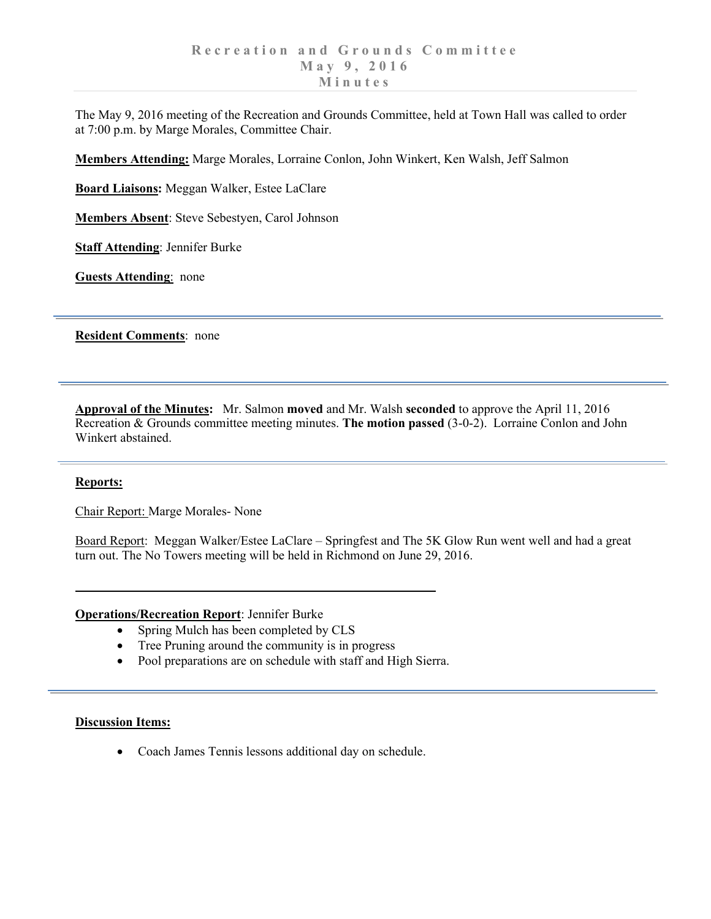The May 9, 2016 meeting of the Recreation and Grounds Committee, held at Town Hall was called to order at 7:00 p.m. by Marge Morales, Committee Chair.

**Members Attending:** Marge Morales, Lorraine Conlon, John Winkert, Ken Walsh, Jeff Salmon

**Board Liaisons:** Meggan Walker, Estee LaClare

**Members Absent**: Steve Sebestyen, Carol Johnson

**Staff Attending**: Jennifer Burke

**Guests Attending**: none

**Resident Comments**: none

**Approval of the Minutes:** Mr. Salmon **moved** and Mr. Walsh **seconded** to approve the April 11, 2016 Recreation & Grounds committee meeting minutes. **The motion passed** (3-0-2). Lorraine Conlon and John Winkert abstained.

## **Reports:**

Chair Report: Marge Morales- None

Board Report: Meggan Walker/Estee LaClare – Springfest and The 5K Glow Run went well and had a great turn out. The No Towers meeting will be held in Richmond on June 29, 2016.

## **Operations/Recreation Report**: Jennifer Burke

- Spring Mulch has been completed by CLS
- Tree Pruning around the community is in progress
- Pool preparations are on schedule with staff and High Sierra.

## **Discussion Items:**

• Coach James Tennis lessons additional day on schedule.